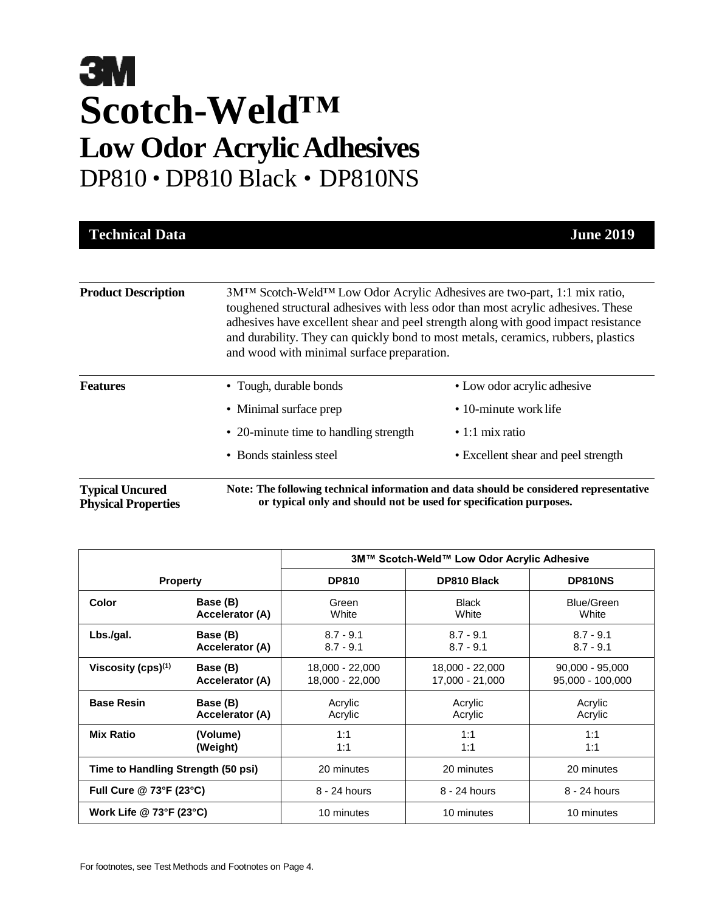| <b>Technical Data</b>                                |                                                                                                                                                                                                                                                                                                   | <b>June 2019</b>                                                                       |
|------------------------------------------------------|---------------------------------------------------------------------------------------------------------------------------------------------------------------------------------------------------------------------------------------------------------------------------------------------------|----------------------------------------------------------------------------------------|
| <b>Product Description</b>                           | 3MTM Scotch-WeldTM Low Odor Acrylic Adhesives are two-part, 1:1 mix ratio,<br>toughened structural adhesives with less odor than most acrylic adhesives. These<br>and durability. They can quickly bond to most metals, ceramics, rubbers, plastics<br>and wood with minimal surface preparation. | adhesives have excellent shear and peel strength along with good impact resistance     |
| <b>Features</b>                                      | • Tough, durable bonds                                                                                                                                                                                                                                                                            | • Low odor acrylic adhesive                                                            |
|                                                      | • Minimal surface prep                                                                                                                                                                                                                                                                            | • 10-minute work life                                                                  |
|                                                      | • 20-minute time to handling strength                                                                                                                                                                                                                                                             | $\cdot$ 1:1 mix ratio                                                                  |
|                                                      | • Bonds stainless steel                                                                                                                                                                                                                                                                           | • Excellent shear and peel strength                                                    |
| <b>Typical Uncured</b><br><b>Physical Properties</b> | or typical only and should not be used for specification purposes.                                                                                                                                                                                                                                | Note: The following technical information and data should be considered representative |

|                                    |                 | 3M™ Scotch-Weld™ Low Odor Acrylic Adhesive |                    |                   |
|------------------------------------|-----------------|--------------------------------------------|--------------------|-------------------|
| <b>Property</b>                    |                 | <b>DP810</b>                               | <b>DP810 Black</b> | DP810NS           |
| Color                              | Base (B)        | Green                                      | <b>Black</b>       | Blue/Green        |
|                                    | Accelerator (A) | White                                      | White              | White             |
| Lbs./gal.                          | Base (B)        | $8.7 - 9.1$                                | $8.7 - 9.1$        | $8.7 - 9.1$       |
|                                    | Accelerator (A) | $8.7 - 9.1$                                | $8.7 - 9.1$        | $8.7 - 9.1$       |
| Viscosity $(cps)^{(1)}$            | Base (B)        | 18,000 - 22,000                            | 18,000 - 22,000    | $90,000 - 95,000$ |
|                                    | Accelerator (A) | 18,000 - 22,000                            | 17,000 - 21,000    | 95,000 - 100,000  |
| <b>Base Resin</b>                  | Base (B)        | Acrylic                                    | Acrylic            | Acrylic           |
|                                    | Accelerator (A) | Acrylic                                    | Acrylic            | Acrylic           |
| <b>Mix Ratio</b>                   | (Volume)        | 1:1                                        | 1:1                | 1:1               |
|                                    | (Weight)        | 1:1                                        | 1:1                | 1:1               |
| Time to Handling Strength (50 psi) |                 | 20 minutes                                 | 20 minutes         | 20 minutes        |
| Full Cure @ 73°F (23°C)            |                 | 8 - 24 hours                               | 8 - 24 hours       | 8 - 24 hours      |
| Work Life @ 73°F (23°C)            |                 | 10 minutes                                 | 10 minutes         | 10 minutes        |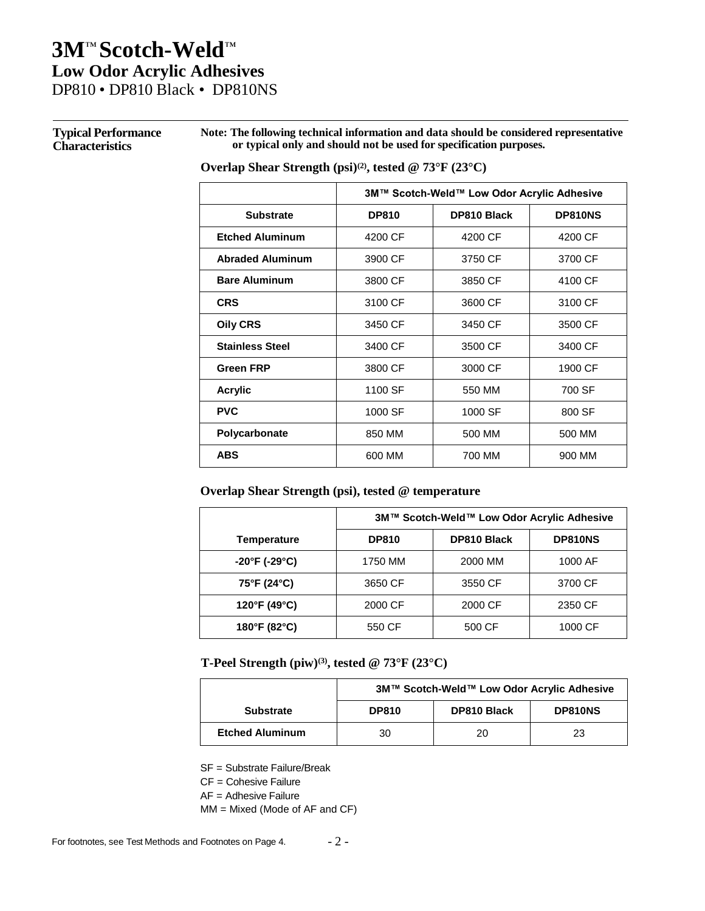#### **Typical Performance Characteristics**

**Note: The following technical information and data should be considered representative or typical only and should not be used for specification purposes.**

#### **Overlap Shear Strength (psi)(2), tested @ 73°F (23°C)**

|                         | 3M™ Scotch-Weld™ Low Odor Acrylic Adhesive |                    |         |
|-------------------------|--------------------------------------------|--------------------|---------|
| <b>Substrate</b>        | <b>DP810</b>                               | <b>DP810 Black</b> | DP810NS |
| <b>Etched Aluminum</b>  | 4200 CF                                    | 4200 CF            | 4200 CF |
| <b>Abraded Aluminum</b> | 3900 CF                                    | 3750 CF            | 3700 CF |
| <b>Bare Aluminum</b>    | 3800 CF                                    | 3850 CF            | 4100 CF |
| <b>CRS</b>              | 3100 CF                                    | 3600 CF            | 3100 CF |
| <b>Oily CRS</b>         | 3450 CF                                    | 3450 CF            | 3500 CF |
| <b>Stainless Steel</b>  | 3400 CF                                    | 3500 CF            | 3400 CF |
| <b>Green FRP</b>        | 3800 CF                                    | 3000 CF            | 1900 CF |
| <b>Acrylic</b>          | 1100 SF                                    | 550 MM             | 700 SF  |
| <b>PVC</b>              | 1000 SF                                    | 1000 SF            | 800 SF  |
| Polycarbonate           | 850 MM                                     | 500 MM             | 500 MM  |
| <b>ABS</b>              | 600 MM                                     | 700 MM             | 900 MM  |

#### **Overlap Shear Strength (psi), tested @ temperature**

|                                    | 3M™ Scotch-Weld™ Low Odor Acrylic Adhesive |                    |         |
|------------------------------------|--------------------------------------------|--------------------|---------|
| <b>Temperature</b>                 | <b>DP810</b>                               | <b>DP810 Black</b> | DP810NS |
| $-20^{\circ}$ F (-29 $^{\circ}$ C) | 1750 MM                                    | 2000 MM            | 1000 AF |
| 75°F (24°C)                        | 3650 CF                                    | 3550 CF            | 3700 CF |
| 120°F (49°C)                       | 2000 CF                                    | 2000 CF            | 2350 CF |
| 180°F (82°C)                       | 550 CF                                     | 500 CF             | 1000 CF |

**T-Peel Strength (piw)(3), tested @ 73°F (23°C)**

|                        | 3M™ Scotch-Weld™ Low Odor Acrylic Adhesive |                    |         |
|------------------------|--------------------------------------------|--------------------|---------|
| <b>Substrate</b>       | <b>DP810</b>                               | <b>DP810 Black</b> | DP810NS |
| <b>Etched Aluminum</b> | 30                                         | 20                 | 23      |

SF = Substrate Failure/Break

CF = Cohesive Failure

AF = Adhesive Failure

MM = Mixed (Mode of AF and CF)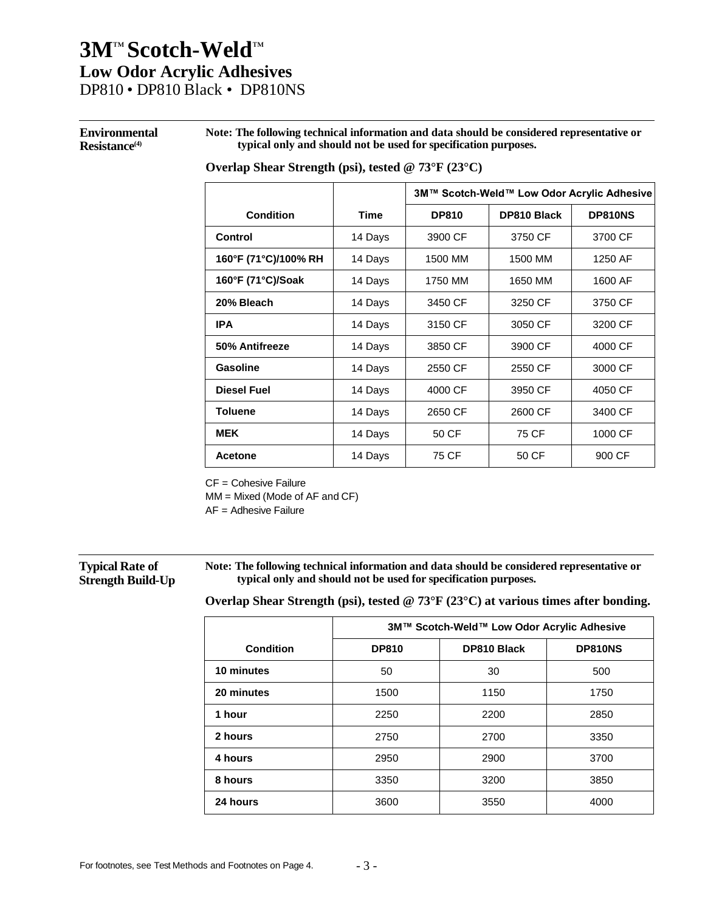## **3M**™ **Scotch-Weld**™ **Low Odor Acrylic Adhesives**

DP810 • DP810 Black • DP810NS

#### **Environmental Resistance(4)**

**Note: The following technical information and data should be considered representative or typical only and should not be used for specification purposes.**

#### **Overlap Shear Strength (psi), tested @ 73°F (23°C)**

|                      |             | 3M™ Scotch-Weld™ Low Odor Acrylic Adhesive |             |         |
|----------------------|-------------|--------------------------------------------|-------------|---------|
| <b>Condition</b>     | <b>Time</b> | <b>DP810</b>                               | DP810 Black | DP810NS |
| Control              | 14 Days     | 3900 CF                                    | 3750 CF     | 3700 CF |
| 160°F (71°C)/100% RH | 14 Days     | 1500 MM                                    | 1500 MM     | 1250 AF |
| 160°F (71°C)/Soak    | 14 Days     | 1750 MM                                    | 1650 MM     | 1600 AF |
| 20% Bleach           | 14 Days     | 3450 CF                                    | 3250 CF     | 3750 CF |
| <b>IPA</b>           | 14 Days     | 3150 CF                                    | 3050 CF     | 3200 CF |
| 50% Antifreeze       | 14 Days     | 3850 CF                                    | 3900 CF     | 4000 CF |
| Gasoline             | 14 Days     | 2550 CF                                    | 2550 CF     | 3000 CF |
| <b>Diesel Fuel</b>   | 14 Days     | 4000 CF                                    | 3950 CF     | 4050 CF |
| <b>Toluene</b>       | 14 Days     | 2650 CF                                    | 2600 CF     | 3400 CF |
| <b>MEK</b>           | 14 Days     | 50 CF                                      | 75 CF       | 1000 CF |
| Acetone              | 14 Days     | 75 CF                                      | 50 CF       | 900 CF  |

CF = Cohesive Failure

MM = Mixed (Mode of AF and CF)

AF = Adhesive Failure

#### **Typical Rate of Strength Build-Up**

**Note: The following technical information and data should be considered representative or typical only and should not be used for specification purposes.**

**Overlap Shear Strength (psi), tested @ 73°F (23°C) at various times after bonding.**

|                  | 3M™ Scotch-Weld™ Low Odor Acrylic Adhesive |                    |         |
|------------------|--------------------------------------------|--------------------|---------|
| <b>Condition</b> | <b>DP810</b>                               | <b>DP810 Black</b> | DP810NS |
| 10 minutes       | 50                                         | 30                 | 500     |
| 20 minutes       | 1500                                       | 1150               | 1750    |
| 1 hour           | 2250                                       | 2200               | 2850    |
| 2 hours          | 2750                                       | 2700               | 3350    |
| 4 hours          | 2950                                       | 2900               | 3700    |
| 8 hours          | 3350                                       | 3200               | 3850    |
| 24 hours         | 3600                                       | 3550               | 4000    |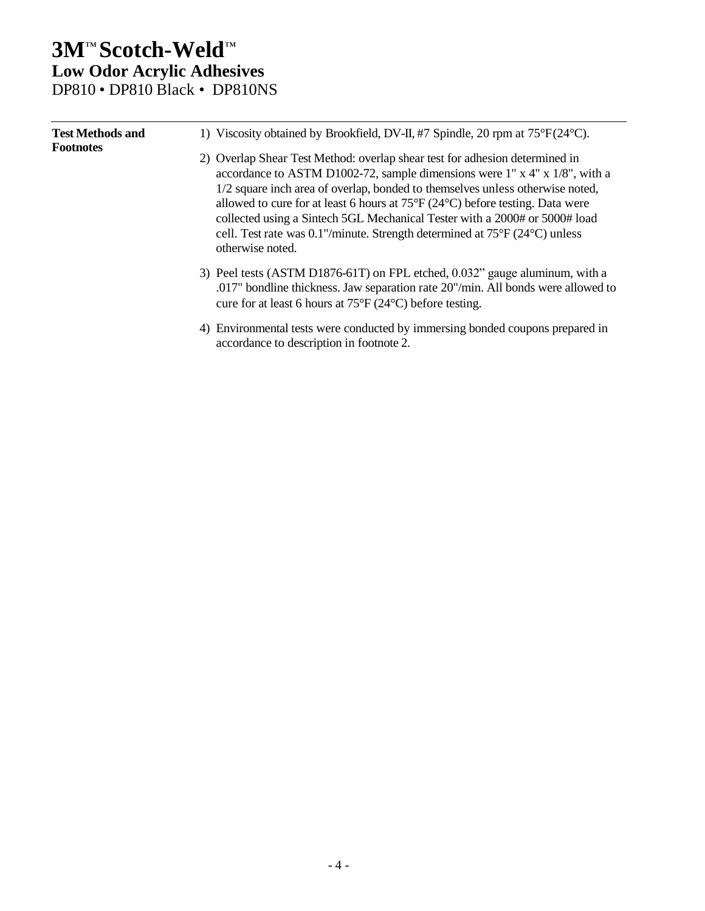| <b>Test Methods and</b><br><b>Footnotes</b> | 1) Viscosity obtained by Brookfield, DV-II, #7 Spindle, 20 rpm at 75°F(24°C).                                                                                                                                                                                                                                                                                                                                                                                                                                                                          |
|---------------------------------------------|--------------------------------------------------------------------------------------------------------------------------------------------------------------------------------------------------------------------------------------------------------------------------------------------------------------------------------------------------------------------------------------------------------------------------------------------------------------------------------------------------------------------------------------------------------|
|                                             | 2) Overlap Shear Test Method: overlap shear test for adhesion determined in<br>accordance to ASTM D1002-72, sample dimensions were $1''$ x $4''$ x $1/8''$ , with a<br>1/2 square inch area of overlap, bonded to themselves unless otherwise noted,<br>allowed to cure for at least 6 hours at $75^{\circ}F(24^{\circ}C)$ before testing. Data were<br>collected using a Sintech 5GL Mechanical Tester with a 2000# or 5000# load<br>cell. Test rate was $0.1$ "/minute. Strength determined at $75^{\circ}F(24^{\circ}C)$ unless<br>otherwise noted. |
|                                             | 3) Peel tests (ASTM D1876-61T) on FPL etched, 0.032" gauge aluminum, with a<br>.017" bondline thickness. Jaw separation rate 20"/min. All bonds were allowed to<br>cure for at least 6 hours at $75^{\circ}F(24^{\circ}C)$ before testing.                                                                                                                                                                                                                                                                                                             |
|                                             | 4) Environmental tests were conducted by immersing bonded coupons prepared in<br>accordance to description in footnote 2.                                                                                                                                                                                                                                                                                                                                                                                                                              |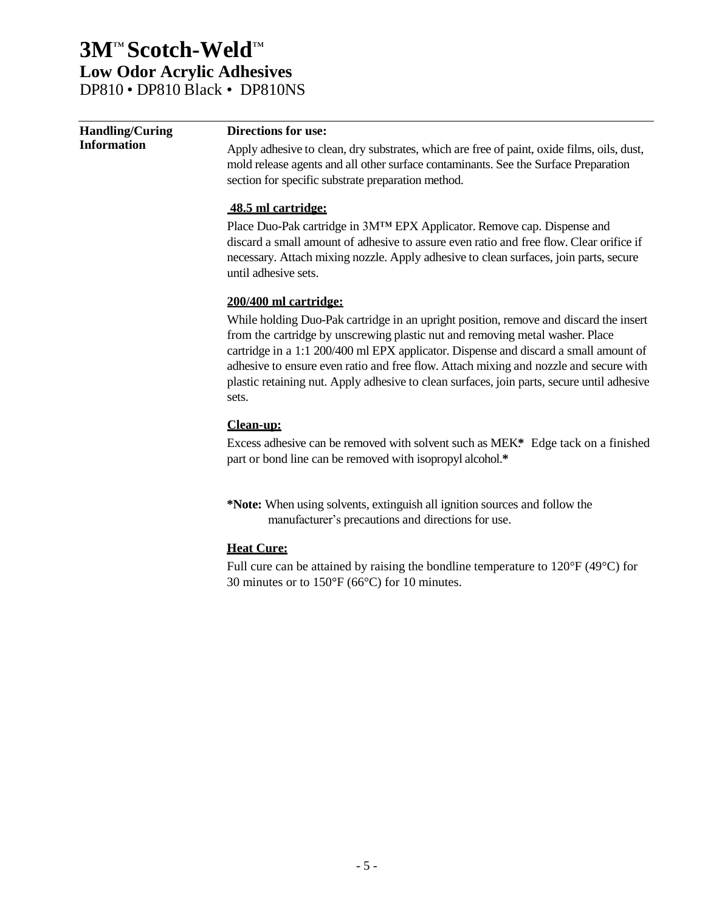| <b>Handling/Curing</b> | <b>Directions for use:</b>                                                                 |
|------------------------|--------------------------------------------------------------------------------------------|
| <b>Information</b>     | Apply adhesive to clean, dry substrates, which are free of paint, oxide films, oils, dust, |
|                        | mold release agents and all other surface contaminants. See the Surface Preparation        |
|                        | section for specific substrate preparation method.                                         |
|                        | 48.5 ml cartridge:                                                                         |
|                        | Place Duo-Pak cartridge in 3M™ EPX Applicator. Remove cap. Dispense and                    |
|                        | discard a small amount of adhesive to assure even ratio and free flow. Clear orifice if    |
|                        | necessary. Attach mixing nozzle. Apply adhesive to clean surfaces, join parts, secure      |
|                        | until adhesive sets.                                                                       |
|                        | 200/400 ml cartridge:                                                                      |
|                        | While holding Duo-Pak cartridge in an upright position, remove and discard the insert      |
|                        | from the cartridge by unscrewing plastic nut and removing metal washer. Place              |
|                        | cartridge in a 1:1 200/400 ml EPX applicator. Dispense and discard a small amount of       |
|                        | adhesive to ensure even ratio and free flow. Attach mixing and nozzle and secure with      |
|                        | plastic retaining nut. Apply adhesive to clean surfaces, join parts, secure until adhesive |
|                        | sets.                                                                                      |
|                        | Clean-up:                                                                                  |
|                        | Excess adhesive can be removed with solvent such as MEK* Edge tack on a finished           |
|                        | part or bond line can be removed with isopropyl alcohol.*                                  |
|                        | *Note: When using solvents, extinguish all ignition sources and follow the                 |
|                        | manufacturer's precautions and directions for use.                                         |
|                        |                                                                                            |

#### **Heat Cure:**

Full cure can be attained by raising the bondline temperature to 120°F (49°C) for 30 minutes or to 150°F (66°C) for 10 minutes.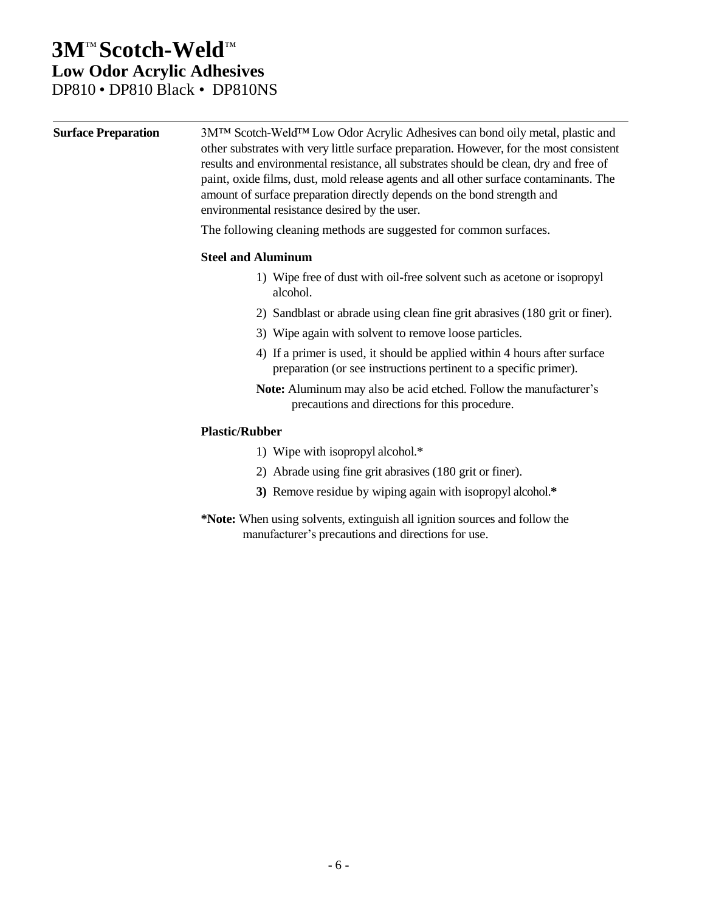| <b>Surface Preparation</b> | 3M™ Scotch-Weld™ Low Odor Acrylic Adhesives can bond oily metal, plastic and<br>other substrates with very little surface preparation. However, for the most consistent<br>results and environmental resistance, all substrates should be clean, dry and free of<br>paint, oxide films, dust, mold release agents and all other surface contaminants. The<br>amount of surface preparation directly depends on the bond strength and<br>environmental resistance desired by the user. |  |  |  |
|----------------------------|---------------------------------------------------------------------------------------------------------------------------------------------------------------------------------------------------------------------------------------------------------------------------------------------------------------------------------------------------------------------------------------------------------------------------------------------------------------------------------------|--|--|--|
|                            | The following cleaning methods are suggested for common surfaces.<br><b>Steel and Aluminum</b>                                                                                                                                                                                                                                                                                                                                                                                        |  |  |  |
|                            |                                                                                                                                                                                                                                                                                                                                                                                                                                                                                       |  |  |  |
|                            | 1) Wipe free of dust with oil-free solvent such as acetone or isopropyl<br>alcohol.                                                                                                                                                                                                                                                                                                                                                                                                   |  |  |  |
|                            | 2) Sandblast or abrade using clean fine grit abrasives (180 grit or finer).                                                                                                                                                                                                                                                                                                                                                                                                           |  |  |  |
|                            | 3) Wipe again with solvent to remove loose particles.                                                                                                                                                                                                                                                                                                                                                                                                                                 |  |  |  |
|                            | 4) If a primer is used, it should be applied within 4 hours after surface<br>preparation (or see instructions pertinent to a specific primer).                                                                                                                                                                                                                                                                                                                                        |  |  |  |
|                            | Note: Aluminum may also be acid etched. Follow the manufacturer's<br>precautions and directions for this procedure.                                                                                                                                                                                                                                                                                                                                                                   |  |  |  |
|                            | <b>Plastic/Rubber</b>                                                                                                                                                                                                                                                                                                                                                                                                                                                                 |  |  |  |
|                            | 1) Wipe with isopropyl alcohol.*                                                                                                                                                                                                                                                                                                                                                                                                                                                      |  |  |  |
|                            | 2) Abrade using fine grit abrasives (180 grit or finer).                                                                                                                                                                                                                                                                                                                                                                                                                              |  |  |  |
|                            | 3) Remove residue by wiping again with isopropyl alcohol.*                                                                                                                                                                                                                                                                                                                                                                                                                            |  |  |  |
|                            | *Note: When using solvents, extinguish all ignition sources and follow the<br>manufacturer's precautions and directions for use.                                                                                                                                                                                                                                                                                                                                                      |  |  |  |
|                            |                                                                                                                                                                                                                                                                                                                                                                                                                                                                                       |  |  |  |
|                            |                                                                                                                                                                                                                                                                                                                                                                                                                                                                                       |  |  |  |
|                            |                                                                                                                                                                                                                                                                                                                                                                                                                                                                                       |  |  |  |